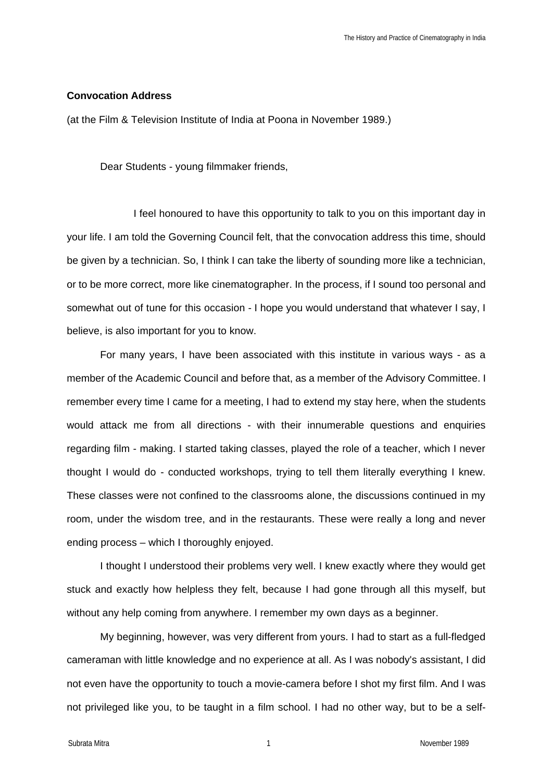## **Convocation Address**

(at the Film & Television Institute of India at Poona in November 1989.)

Dear Students - young filmmaker friends,

I feel honoured to have this opportunity to talk to you on this important day in your life. I am told the Governing Council felt, that the convocation address this time, should be given by a technician. So, I think I can take the liberty of sounding more like a technician, or to be more correct, more like cinematographer. In the process, if I sound too personal and somewhat out of tune for this occasion - I hope you would understand that whatever I say, I believe, is also important for you to know.

For many years, I have been associated with this institute in various ways - as a member of the Academic Council and before that, as a member of the Advisory Committee. I remember every time I came for a meeting, I had to extend my stay here, when the students would attack me from all directions - with their innumerable questions and enquiries regarding film - making. I started taking classes, played the role of a teacher, which I never thought I would do - conducted workshops, trying to tell them literally everything I knew. These classes were not confined to the classrooms alone, the discussions continued in my room, under the wisdom tree, and in the restaurants. These were really a long and never ending process – which I thoroughly enjoyed.

I thought I understood their problems very well. I knew exactly where they would get stuck and exactly how helpless they felt, because I had gone through all this myself, but without any help coming from anywhere. I remember my own days as a beginner.

My beginning, however, was very different from yours. I had to start as a full-fledged cameraman with little knowledge and no experience at all. As I was nobody's assistant, I did not even have the opportunity to touch a movie-camera before I shot my first film. And I was not privileged like you, to be taught in a film school. I had no other way, but to be a self-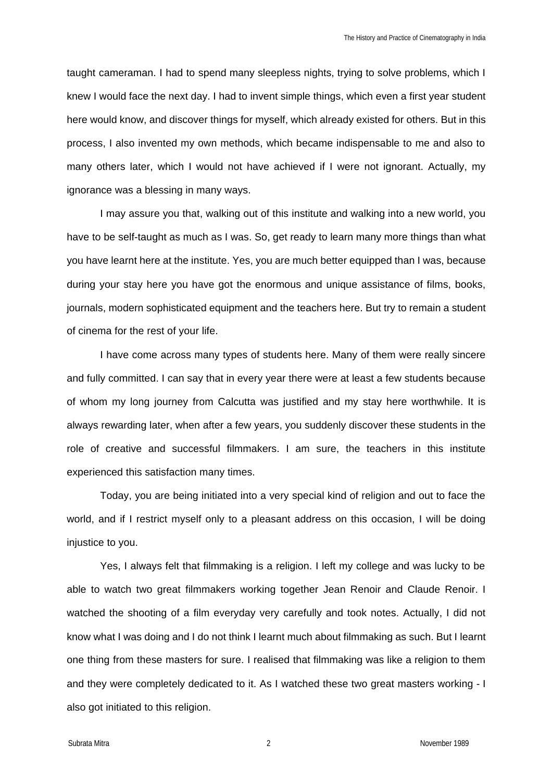taught cameraman. I had to spend many sleepless nights, trying to solve problems, which I knew I would face the next day. I had to invent simple things, which even a first year student here would know, and discover things for myself, which already existed for others. But in this process, I also invented my own methods, which became indispensable to me and also to many others later, which I would not have achieved if I were not ignorant. Actually, my ignorance was a blessing in many ways.

I may assure you that, walking out of this institute and walking into a new world, you have to be self-taught as much as I was. So, get ready to learn many more things than what you have learnt here at the institute. Yes, you are much better equipped than I was, because during your stay here you have got the enormous and unique assistance of films, books, journals, modern sophisticated equipment and the teachers here. But try to remain a student of cinema for the rest of your life.

I have come across many types of students here. Many of them were really sincere and fully committed. I can say that in every year there were at least a few students because of whom my long journey from Calcutta was justified and my stay here worthwhile. It is always rewarding later, when after a few years, you suddenly discover these students in the role of creative and successful filmmakers. I am sure, the teachers in this institute experienced this satisfaction many times.

Today, you are being initiated into a very special kind of religion and out to face the world, and if I restrict myself only to a pleasant address on this occasion, I will be doing injustice to you.

Yes, I always felt that filmmaking is a religion. I left my college and was lucky to be able to watch two great filmmakers working together Jean Renoir and Claude Renoir. I watched the shooting of a film everyday very carefully and took notes. Actually, I did not know what I was doing and I do not think I learnt much about filmmaking as such. But I learnt one thing from these masters for sure. I realised that filmmaking was like a religion to them and they were completely dedicated to it. As I watched these two great masters working - I also got initiated to this religion.

Subrata Mitra 2 November 1989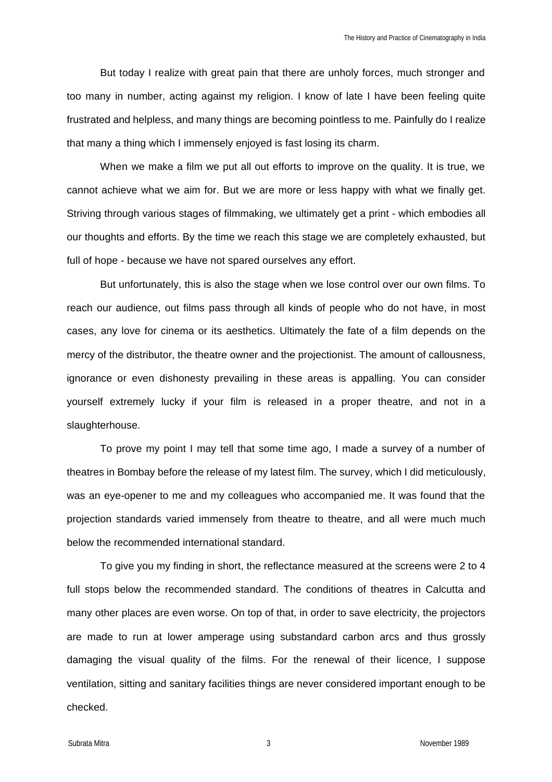But today I realize with great pain that there are unholy forces, much stronger and too many in number, acting against my religion. I know of late I have been feeling quite frustrated and helpless, and many things are becoming pointless to me. Painfully do I realize that many a thing which I immensely enjoyed is fast losing its charm.

When we make a film we put all out efforts to improve on the quality. It is true, we cannot achieve what we aim for. But we are more or less happy with what we finally get. Striving through various stages of filmmaking, we ultimately get a print - which embodies all our thoughts and efforts. By the time we reach this stage we are completely exhausted, but full of hope - because we have not spared ourselves any effort.

But unfortunately, this is also the stage when we lose control over our own films. To reach our audience, out films pass through all kinds of people who do not have, in most cases, any love for cinema or its aesthetics. Ultimately the fate of a film depends on the mercy of the distributor, the theatre owner and the projectionist. The amount of callousness, ignorance or even dishonesty prevailing in these areas is appalling. You can consider yourself extremely lucky if your film is released in a proper theatre, and not in a slaughterhouse.

To prove my point I may tell that some time ago, I made a survey of a number of theatres in Bombay before the release of my latest film. The survey, which I did meticulously, was an eye-opener to me and my colleagues who accompanied me. It was found that the projection standards varied immensely from theatre to theatre, and all were much much below the recommended international standard.

To give you my finding in short, the reflectance measured at the screens were 2 to 4 full stops below the recommended standard. The conditions of theatres in Calcutta and many other places are even worse. On top of that, in order to save electricity, the projectors are made to run at lower amperage using substandard carbon arcs and thus grossly damaging the visual quality of the films. For the renewal of their licence, I suppose ventilation, sitting and sanitary facilities things are never considered important enough to be checked.

Subrata Mitra **3** November 1989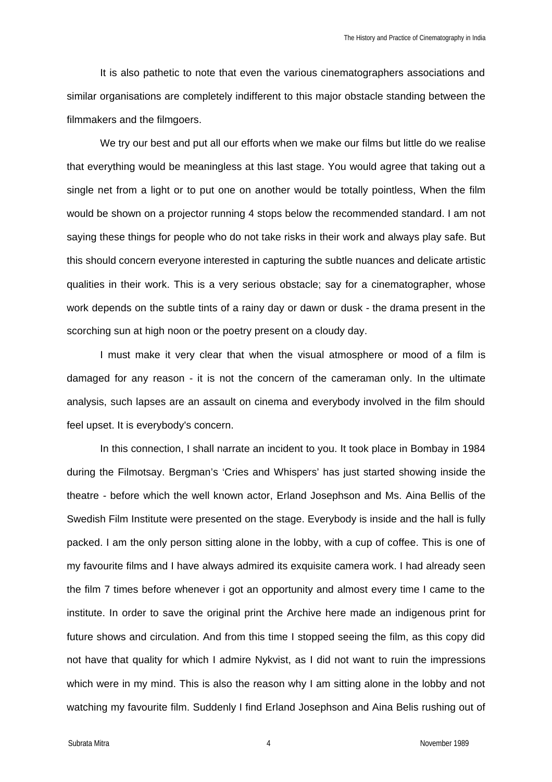It is also pathetic to note that even the various cinematographers associations and similar organisations are completely indifferent to this major obstacle standing between the filmmakers and the filmgoers.

We try our best and put all our efforts when we make our films but little do we realise that everything would be meaningless at this last stage. You would agree that taking out a single net from a light or to put one on another would be totally pointless, When the film would be shown on a projector running 4 stops below the recommended standard. I am not saying these things for people who do not take risks in their work and always play safe. But this should concern everyone interested in capturing the subtle nuances and delicate artistic qualities in their work. This is a very serious obstacle; say for a cinematographer, whose work depends on the subtle tints of a rainy day or dawn or dusk - the drama present in the scorching sun at high noon or the poetry present on a cloudy day.

I must make it very clear that when the visual atmosphere or mood of a film is damaged for any reason - it is not the concern of the cameraman only. In the ultimate analysis, such lapses are an assault on cinema and everybody involved in the film should feel upset. It is everybody's concern.

In this connection, I shall narrate an incident to you. It took place in Bombay in 1984 during the Filmotsay. Bergman's 'Cries and Whispers' has just started showing inside the theatre - before which the well known actor, Erland Josephson and Ms. Aina Bellis of the Swedish Film Institute were presented on the stage. Everybody is inside and the hall is fully packed. I am the only person sitting alone in the lobby, with a cup of coffee. This is one of my favourite films and I have always admired its exquisite camera work. I had already seen the film 7 times before whenever i got an opportunity and almost every time I came to the institute. In order to save the original print the Archive here made an indigenous print for future shows and circulation. And from this time I stopped seeing the film, as this copy did not have that quality for which I admire Nykvist, as I did not want to ruin the impressions which were in my mind. This is also the reason why I am sitting alone in the lobby and not watching my favourite film. Suddenly I find Erland Josephson and Aina Belis rushing out of

Subrata Mitra **1989** November 1989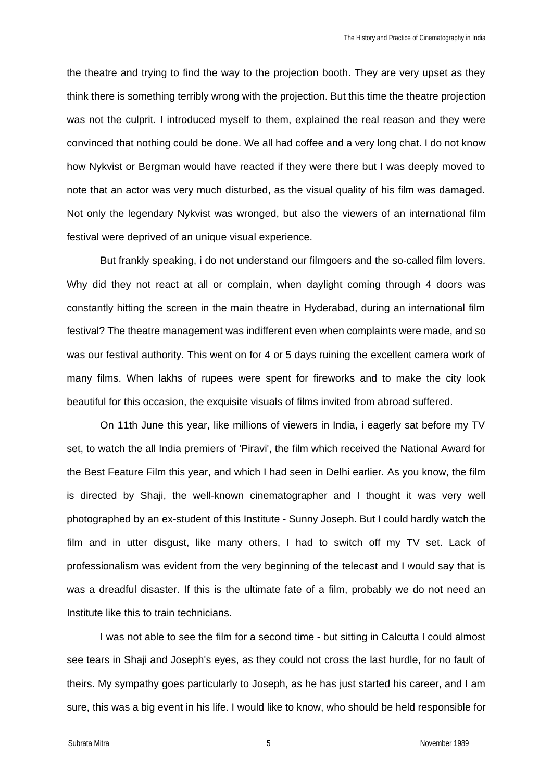the theatre and trying to find the way to the projection booth. They are very upset as they think there is something terribly wrong with the projection. But this time the theatre projection was not the culprit. I introduced myself to them, explained the real reason and they were convinced that nothing could be done. We all had coffee and a very long chat. I do not know how Nykvist or Bergman would have reacted if they were there but I was deeply moved to note that an actor was very much disturbed, as the visual quality of his film was damaged. Not only the legendary Nykvist was wronged, but also the viewers of an international film festival were deprived of an unique visual experience.

But frankly speaking, i do not understand our filmgoers and the so-called film lovers. Why did they not react at all or complain, when daylight coming through 4 doors was constantly hitting the screen in the main theatre in Hyderabad, during an international film festival? The theatre management was indifferent even when complaints were made, and so was our festival authority. This went on for 4 or 5 days ruining the excellent camera work of many films. When lakhs of rupees were spent for fireworks and to make the city look beautiful for this occasion, the exquisite visuals of films invited from abroad suffered.

On 11th June this year, like millions of viewers in India, i eagerly sat before my TV set, to watch the all India premiers of 'Piravi', the film which received the National Award for the Best Feature Film this year, and which I had seen in Delhi earlier. As you know, the film is directed by Shaji, the well-known cinematographer and I thought it was very well photographed by an ex-student of this Institute - Sunny Joseph. But I could hardly watch the film and in utter disgust, like many others, I had to switch off my TV set. Lack of professionalism was evident from the very beginning of the telecast and I would say that is was a dreadful disaster. If this is the ultimate fate of a film, probably we do not need an Institute like this to train technicians.

I was not able to see the film for a second time - but sitting in Calcutta I could almost see tears in Shaji and Joseph's eyes, as they could not cross the last hurdle, for no fault of theirs. My sympathy goes particularly to Joseph, as he has just started his career, and I am sure, this was a big event in his life. I would like to know, who should be held responsible for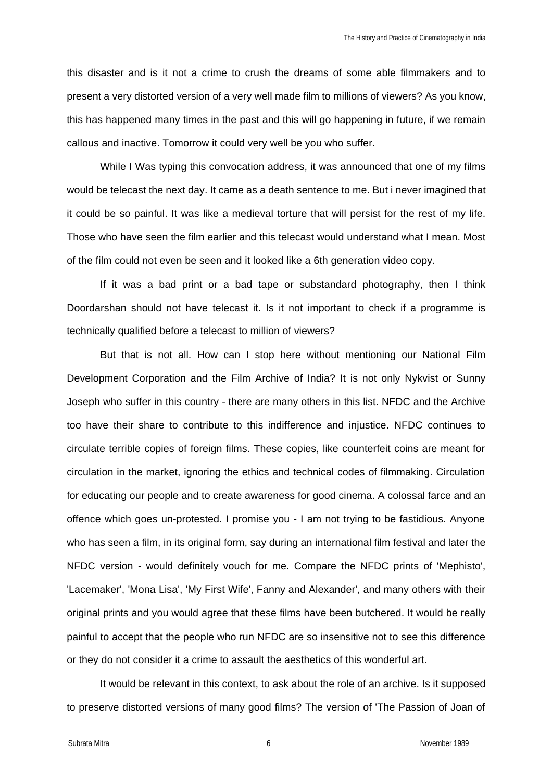this disaster and is it not a crime to crush the dreams of some able filmmakers and to present a very distorted version of a very well made film to millions of viewers? As you know, this has happened many times in the past and this will go happening in future, if we remain callous and inactive. Tomorrow it could very well be you who suffer.

While I Was typing this convocation address, it was announced that one of my films would be telecast the next day. It came as a death sentence to me. But i never imagined that it could be so painful. It was like a medieval torture that will persist for the rest of my life. Those who have seen the film earlier and this telecast would understand what I mean. Most of the film could not even be seen and it looked like a 6th generation video copy.

If it was a bad print or a bad tape or substandard photography, then I think Doordarshan should not have telecast it. Is it not important to check if a programme is technically qualified before a telecast to million of viewers?

But that is not all. How can I stop here without mentioning our National Film Development Corporation and the Film Archive of India? It is not only Nykvist or Sunny Joseph who suffer in this country - there are many others in this list. NFDC and the Archive too have their share to contribute to this indifference and injustice. NFDC continues to circulate terrible copies of foreign films. These copies, like counterfeit coins are meant for circulation in the market, ignoring the ethics and technical codes of filmmaking. Circulation for educating our people and to create awareness for good cinema. A colossal farce and an offence which goes un-protested. I promise you - I am not trying to be fastidious. Anyone who has seen a film, in its original form, say during an international film festival and later the NFDC version - would definitely vouch for me. Compare the NFDC prints of 'Mephisto', 'Lacemaker', 'Mona Lisa', 'My First Wife', Fanny and Alexander', and many others with their original prints and you would agree that these films have been butchered. It would be really painful to accept that the people who run NFDC are so insensitive not to see this difference or they do not consider it a crime to assault the aesthetics of this wonderful art.

It would be relevant in this context, to ask about the role of an archive. Is it supposed to preserve distorted versions of many good films? The version of 'The Passion of Joan of

Subrata Mitra **6** November 1989